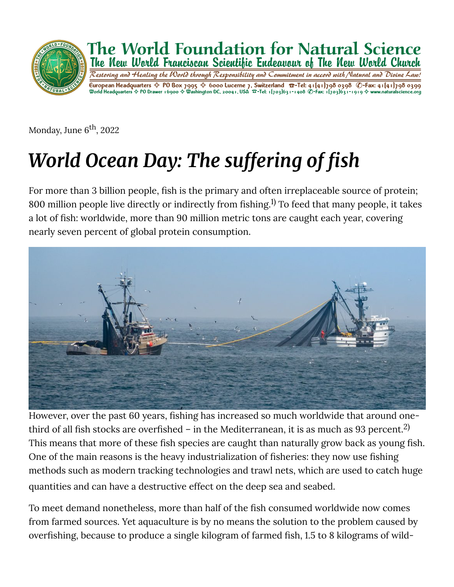

Monday, June 6<sup>th</sup>, 2022

## *World Ocean Day: The suffering of fish*

For more than 3 billion people, fish is the primary and often irreplaceable source of protein; 800 million people live directly or indirectly from fishing.<sup>1)</sup> To feed that many people, it takes a lot of fish: worldwide, more than 90 million metric tons are caught each year, covering nearly seven percent of global protein consumption.



However, over the past 60 years, fishing has increased so much worldwide that around onethird of all fish stocks are overfished – in the Mediterranean, it is as much as 93 percent. $^{\rm 2)}$ This means that more of these fish species are caught than naturally grow back as young fish. One of the main reasons is the heavy industrialization of fisheries: they now use fishing methods such as modern tracking technologies and trawl nets, which are used to catch huge quantities and can have a destructive effect on the deep sea and seabed.

To meet demand nonetheless, more than half of the fish consumed worldwide now comes from farmed sources. Yet aquaculture is by no means the solution to the problem caused by overfishing, because to produce a single kilogram of farmed fish, 1.5 to 8 kilograms of wild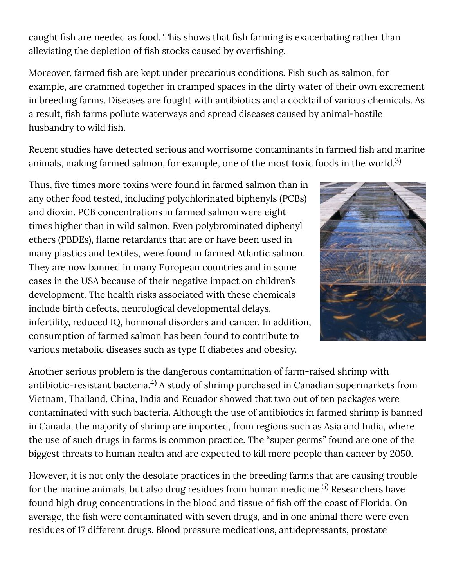caught fish are needed as food. This shows that fish farming is exacerbating rather than alleviating the depletion of fish stocks caused by overfishing.

Moreover, farmed fish are kept under precarious conditions. Fish such as salmon, for example, are crammed together in cramped spaces in the dirty water of their own excrement in breeding farms. Diseases are fought with antibiotics and a cocktail of various chemicals. As a result, fish farms pollute waterways and spread diseases caused by animal-hostile husbandry to wild fish.

Recent studies have detected serious and worrisome contaminants in farmed fish and marine animals, making farmed salmon, for example, one of the most toxic foods in the world. $^{\rm 3)}$ 

Thus, five times more toxins were found in farmed salmon than in any other food tested, including polychlorinated biphenyls (PCBs) and dioxin. PCB concentrations in farmed salmon were eight times higher than in wild salmon. Even polybrominated diphenyl ethers (PBDEs), flame retardants that are or have been used in many plastics and textiles, were found in farmed Atlantic salmon. They are now banned in many European countries and in some cases in the USA because of their negative impact on children's development. The health risks associated with these chemicals include birth defects, neurological developmental delays, infertility, reduced IQ, hormonal disorders and cancer. In addition, consumption of farmed salmon has been found to contribute to various metabolic diseases such as type II diabetes and obesity.



Another serious problem is the dangerous contamination of farm-raised shrimp with antibiotic-resistant bacteria. $^{\rm 4)}$  A study of shrimp purchased in Canadian supermarkets from Vietnam, Thailand, China, India and Ecuador showed that two out of ten packages were contaminated with such bacteria. Although the use of antibiotics in farmed shrimp is banned in Canada, the majority of shrimp are imported, from regions such as Asia and India, where the use of such drugs in farms is common practice. The "super germs" found are one of the biggest threats to human health and are expected to kill more people than cancer by 2050.

However, it is not only the desolate practices in the breeding farms that are causing trouble for the marine animals, but also drug residues from human medicine. $^{\rm 5)}$  Researchers have found high drug concentrations in the blood and tissue of fish off the coast of Florida. On average, the fish were contaminated with seven drugs, and in one animal there were even residues of 17 different drugs. Blood pressure medications, antidepressants, prostate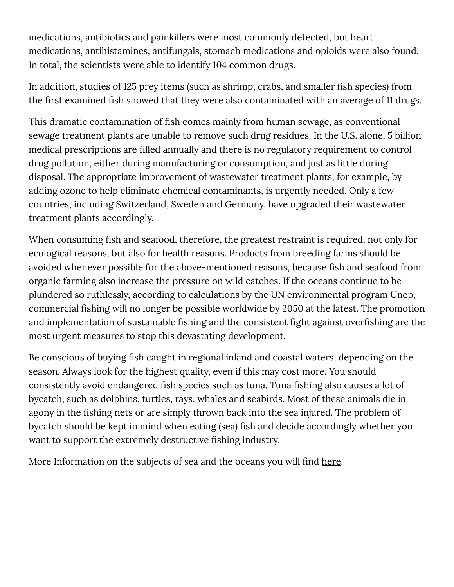medications, antibiotics and painkillers were most commonly detected, but heart medications, antihistamines, antifungals, stomach medications and opioids were also found. In total, the scientists were able to identify 104 common drugs.

In addition, studies of 125 prey items (such as shrimp, crabs, and smaller fish species) from the first examined fish showed that they were also contaminated with an average of 11 drugs.

This dramatic contamination of fish comes mainly from human sewage, as conventional sewage treatment plants are unable to remove such drug residues. In the U.S. alone, 5 billion medical prescriptions are filled annually and there is no regulatory requirement to control drug pollution, either during manufacturing or consumption, and just as little during disposal. The appropriate improvement of wastewater treatment plants, for example, by adding ozone to help eliminate chemical contaminants, is urgently needed. Only a few countries, including Switzerland, Sweden and Germany, have upgraded their wastewater treatment plants accordingly.

When consuming fish and seafood, therefore, the greatest restraint is required, not only for ecological reasons, but also for health reasons. Products from breeding farms should be avoided whenever possible for the above-mentioned reasons, because fish and seafood from organic farming also increase the pressure on wild catches. If the oceans continue to be plundered so ruthlessly, according to calculations by the UN environmental program Unep, commercial fishing will no longer be possible worldwide by 2050 at the latest. The promotion and implementation of sustainable fishing and the consistent fight against overfishing are the most urgent measures to stop this devastating development.

Be conscious of buying fish caught in regional inland and coastal waters, depending on the season. Always look for the highest quality, even if this may cost more. You should consistently avoid endangered fish species such as tuna. Tuna fishing also causes a lot of bycatch, such as dolphins, turtles, rays, whales and seabirds. Most of these animals die in agony in the fishing nets or are simply thrown back into the sea injured. The problem of bycatch should be kept in mind when eating (sea) fish and decide accordingly whether you want to support the extremely destructive fishing industry.

More Information on the subjects of sea and the oceans you will find [here.](https://www.naturalscience.org/topics/oceans/)